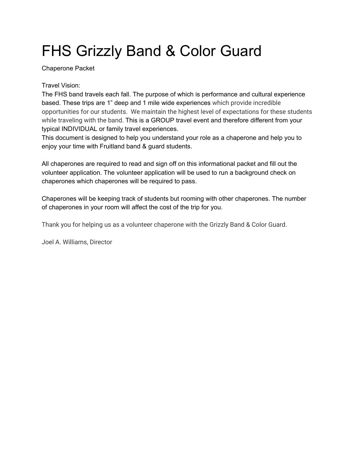# FHS Grizzly Band & Color Guard

Chaperone Packet

#### Travel Vision:

The FHS band travels each fall. The purpose of which is performance and cultural experience based. These trips are 1" deep and 1 mile wide experiences which provide incredible opportunities for our students. We maintain the highest level of expectations for these students while traveling with the band. This is a GROUP travel event and therefore different from your typical INDIVIDUAL or family travel experiences.

This document is designed to help you understand your role as a chaperone and help you to enjoy your time with Fruitland band & guard students.

All chaperones are required to read and sign off on this informational packet and fill out the volunteer application. The volunteer application will be used to run a background check on chaperones which chaperones will be required to pass.

Chaperones will be keeping track of students but rooming with other chaperones. The number of chaperones in your room will affect the cost of the trip for you.

Thank you for helping us as a volunteer chaperone with the Grizzly Band & Color Guard.

Joel A. Williams, Director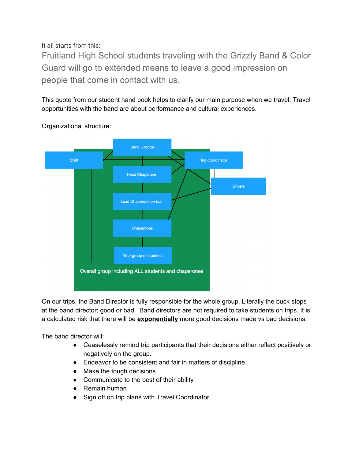It all starts from this:

Fruitland High School students traveling with the Grizzly Band & Color Guard will go to extended means to leave a good impression on people that come in contact with us.

This quote from our student hand book helps to clarify our main purpose when we travel. Travel opportunities with the band are about performance and cultural experiences.



Organizational structure:

On our trips, the Band Director is fully responsible for the whole group. Literally the buck stops at the band director; good or bad. Band directors are not required to take students on trips. It is a calculated risk that there will be **exponentially** more good decisions made vs bad decisions.

The band director will:

- Ceaselessly remind trip participants that their decisions either reflect positively or negatively on the group.
- Endeavor to be consistent and fair in matters of discipline.
- Make the tough decisions
- Communicate to the best of their ability
- Remain human
- Sign off on trip plans with Travel Coordinator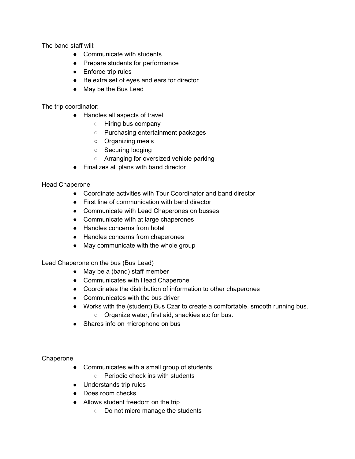The band staff will:

- Communicate with students
- Prepare students for performance
- Enforce trip rules
- Be extra set of eyes and ears for director
- May be the Bus Lead

The trip coordinator:

- Handles all aspects of travel:
	- Hiring bus company
	- Purchasing entertainment packages
	- Organizing meals
	- Securing lodging
	- Arranging for oversized vehicle parking
- Finalizes all plans with band director

#### Head Chaperone

- Coordinate activities with Tour Coordinator and band director
- First line of communication with band director
- Communicate with Lead Chaperones on busses
- Communicate with at large chaperones
- Handles concerns from hotel
- Handles concerns from chaperones
- May communicate with the whole group

Lead Chaperone on the bus (Bus Lead)

- May be a (band) staff member
- Communicates with Head Chaperone
- Coordinates the distribution of information to other chaperones
- Communicates with the bus driver
- Works with the (student) Bus Czar to create a comfortable, smooth running bus. ○ Organize water, first aid, snackies etc for bus.
- Shares info on microphone on bus

Chaperone

- Communicates with a small group of students
	- Periodic check ins with students
- Understands trip rules
- Does room checks
- Allows student freedom on the trip
	- Do not micro manage the students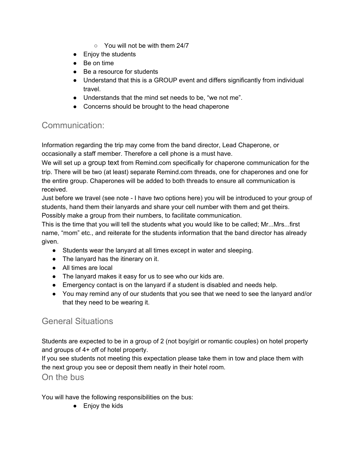- You will not be with them 24/7
- Enjoy the students
- Be on time
- Be a resource for students
- Understand that this is a GROUP event and differs significantly from individual travel.
- Understands that the mind set needs to be, "we not me".
- Concerns should be brought to the head chaperone

## Communication:

Information regarding the trip may come from the band director, Lead Chaperone, or occasionally a staff member. Therefore a cell phone is a must have.

We will set up a group text from Remind.com specifically for chaperone communication for the trip. There will be two (at least) separate Remind.com threads, one for chaperones and one for the entire group. Chaperones will be added to both threads to ensure all communication is received.

Just before we travel (see note - I have two options here) you will be introduced to your group of students, hand them their lanyards and share your cell number with them and get theirs. Possibly make a group from their numbers, to facilitate communication.

This is the time that you will tell the students what you would like to be called; Mr...Mrs...first name, "mom" etc., and reiterate for the students information that the band director has already given.

- Students wear the lanyard at all times except in water and sleeping.
- The lanyard has the itinerary on it.
- All times are local
- The lanyard makes it easy for us to see who our kids are.
- Emergency contact is on the lanyard if a student is disabled and needs help.
- You may remind any of our students that you see that we need to see the lanyard and/or that they need to be wearing it.

## General Situations

Students are expected to be in a group of 2 (not boy/girl or romantic couples) on hotel property and groups of 4+ off of hotel property.

If you see students not meeting this expectation please take them in tow and place them with the next group you see or deposit them neatly in their hotel room.

On the bus

You will have the following responsibilities on the bus:

● Enjoy the kids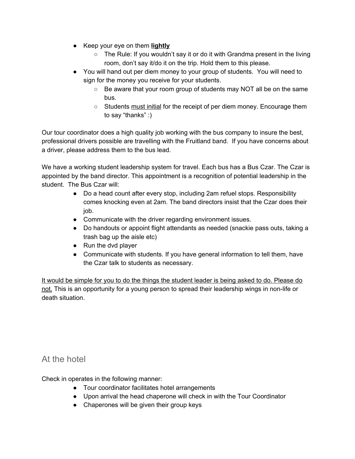- Keep your eye on them **lightly**
	- The Rule: If you wouldn't say it or do it with Grandma present in the living room, don't say it/do it on the trip. Hold them to this please.
- You will hand out per diem money to your group of students. You will need to sign for the money you receive for your students.
	- Be aware that your room group of students may NOT all be on the same bus.
	- Students must initial for the receipt of per diem money. Encourage them to say "thanks" :)

Our tour coordinator does a high quality job working with the bus company to insure the best, professional drivers possible are travelling with the Fruitland band. If you have concerns about a driver, please address them to the bus lead.

We have a working student leadership system for travel. Each bus has a Bus Czar. The Czar is appointed by the band director. This appointment is a recognition of potential leadership in the student. The Bus Czar will:

- Do a head count after every stop, including 2am refuel stops. Responsibility comes knocking even at 2am. The band directors insist that the Czar does their job.
- Communicate with the driver regarding environment issues.
- Do handouts or appoint flight attendants as needed (snackie pass outs, taking a trash bag up the aisle etc)
- Run the dvd player
- Communicate with students. If you have general information to tell them, have the Czar talk to students as necessary.

It would be simple for you to do the things the student leader is being asked to do. Please do not. This is an opportunity for a young person to spread their leadership wings in non-life or death situation.

## At the hotel

Check in operates in the following manner:

- Tour coordinator facilitates hotel arrangements
- Upon arrival the head chaperone will check in with the Tour Coordinator
- Chaperones will be given their group keys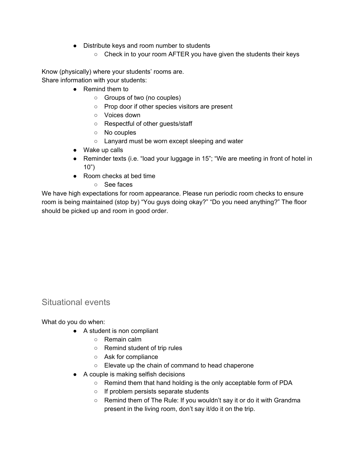- Distribute keys and room number to students
	- Check in to your room AFTER you have given the students their keys

Know (physically) where your students' rooms are. Share information with your students:

- Remind them to
	- Groups of two (no couples)
	- Prop door if other species visitors are present
	- Voices down
	- Respectful of other guests/staff
	- No couples
	- Lanyard must be worn except sleeping and water
- Wake up calls
- Reminder texts (i.e. "load your luggage in 15"; "We are meeting in front of hotel in 10")
- Room checks at bed time
	- See faces

We have high expectations for room appearance. Please run periodic room checks to ensure room is being maintained (stop by) "You guys doing okay?" "Do you need anything?" The floor should be picked up and room in good order.

#### Situational events

What do you do when:

- A student is non compliant
	- Remain calm
	- Remind student of trip rules
	- Ask for compliance
	- Elevate up the chain of command to head chaperone
- A couple is making selfish decisions
	- Remind them that hand holding is the only acceptable form of PDA
	- If problem persists separate students
	- Remind them of The Rule: If you wouldn't say it or do it with Grandma present in the living room, don't say it/do it on the trip.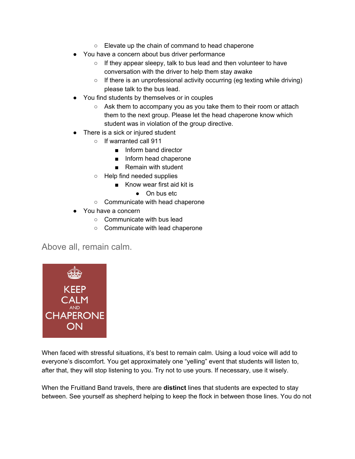- Elevate up the chain of command to head chaperone
- You have a concern about bus driver performance
	- $\circ$  If they appear sleepy, talk to bus lead and then volunteer to have conversation with the driver to help them stay awake
	- If there is an unprofessional activity occurring (eg texting while driving) please talk to the bus lead.
- You find students by themselves or in couples
	- Ask them to accompany you as you take them to their room or attach them to the next group. Please let the head chaperone know which student was in violation of the group directive.
- There is a sick or injured student
	- If warranted call 911
		- Inform band director
		- Inform head chaperone
		- Remain with student
	- Help find needed supplies
		- Know wear first aid kit is
			- On bus etc
	- Communicate with head chaperone
- You have a concern
	- Communicate with bus lead
	- Communicate with lead chaperone

Above all, remain calm.



When faced with stressful situations, it's best to remain calm. Using a loud voice will add to everyone's discomfort. You get approximately one "yelling" event that students will listen to, after that, they will stop listening to you. Try not to use yours. If necessary, use it wisely.

When the Fruitland Band travels, there are **distinct** lines that students are expected to stay between. See yourself as shepherd helping to keep the flock in between those lines. You do not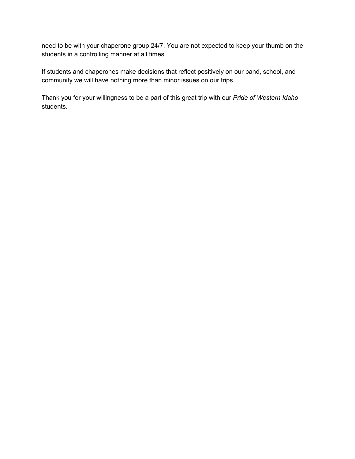need to be with your chaperone group 24/7. You are not expected to keep your thumb on the students in a controlling manner at all times.

If students and chaperones make decisions that reflect positively on our band, school, and community we will have nothing more than minor issues on our trips.

Thank you for your willingness to be a part of this great trip with our *Pride of Western Idaho* students.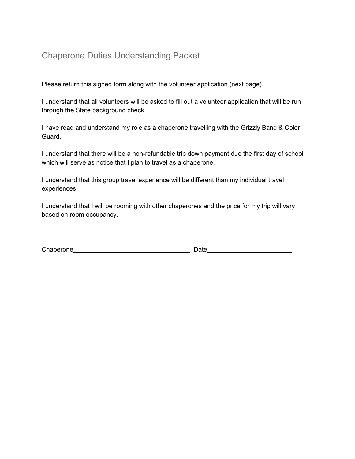# Chaperone Duties Understanding Packet

Please return this signed form along with the volunteer application (next page).

I understand that all volunteers will be asked to fill out a volunteer application that will be run through the State background check.

I have read and understand my role as a chaperone travelling with the Grizzly Band & Color Guard.

I understand that there will be a non-refundable trip down payment due the first day of school which will serve as notice that I plan to travel as a chaperone.

I understand that this group travel experience will be different than my individual travel experiences.

I understand that I will be rooming with other chaperones and the price for my trip will vary based on room occupancy.

| Chaperone |      |
|-----------|------|
|           | Date |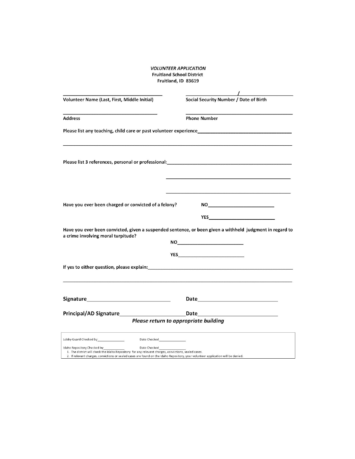#### **VOLUNTEER APPLICATION Fruitland School District** Fruitland, ID 83619

| Volunteer Name (Last, First, Middle Initial)         | Social Security Number / Date of Birth                                                                                                                                                                                                                                                                                                                                                      |
|------------------------------------------------------|---------------------------------------------------------------------------------------------------------------------------------------------------------------------------------------------------------------------------------------------------------------------------------------------------------------------------------------------------------------------------------------------|
| <b>Address</b>                                       | <b>Phone Number</b>                                                                                                                                                                                                                                                                                                                                                                         |
|                                                      |                                                                                                                                                                                                                                                                                                                                                                                             |
|                                                      |                                                                                                                                                                                                                                                                                                                                                                                             |
|                                                      |                                                                                                                                                                                                                                                                                                                                                                                             |
| Have you ever been charged or convicted of a felony? | $\begin{picture}(180,10) \put(0,0){\dashbox{0.5}(10,0){ }} \put(10,0){\circle{10}} \put(10,0){\circle{10}} \put(10,0){\circle{10}} \put(10,0){\circle{10}} \put(10,0){\circle{10}} \put(10,0){\circle{10}} \put(10,0){\circle{10}} \put(10,0){\circle{10}} \put(10,0){\circle{10}} \put(10,0){\circle{10}} \put(10,0){\circle{10}} \put(10,0){\circle{10}} \put(10,0){\circle{10}} \put(10$ |
|                                                      | <b>YES</b>                                                                                                                                                                                                                                                                                                                                                                                  |
| a crime involving moral turpitude?                   | Have you ever been convicted, given a suspended sentence, or been given a withheld judgment in regard to                                                                                                                                                                                                                                                                                    |
|                                                      | <b>YES______________________________</b>                                                                                                                                                                                                                                                                                                                                                    |
|                                                      |                                                                                                                                                                                                                                                                                                                                                                                             |
|                                                      |                                                                                                                                                                                                                                                                                                                                                                                             |
|                                                      | Data<br>the control of the control of the control of                                                                                                                                                                                                                                                                                                                                        |
|                                                      | Please return to appropriate building                                                                                                                                                                                                                                                                                                                                                       |
| Date Checked <b>Exercise Service Service</b>         |                                                                                                                                                                                                                                                                                                                                                                                             |
| Idaha Ronacitoru Chaelcod bu<br>Data Charles         |                                                                                                                                                                                                                                                                                                                                                                                             |

Date Checked<br>1. The district will check the Idaho Repository for any relevant charges, convictions, sealed cases.<br>2. If relevant charges, convictions or sealed cases are found on the Idaho Repository, your volunteer applic